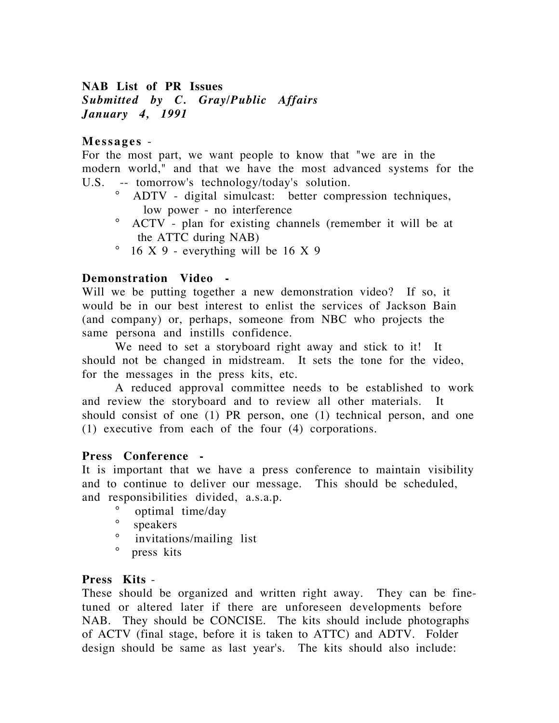# **NAB List of PR Issues** *Submitted by C. Gray/Public Affairs January 4, 1991*

### **Messages** -

For the most part, we want people to know that "we are in the modern world," and that we have the most advanced systems for the U.S. -- tomorrow's technology/today's solution.

- ° ADTV digital simulcast: better compression techniques, low power - no interference
- ° ACTV plan for existing channels (remember it will be at the ATTC during NAB)
- ° 16 X 9 everything will be 16 X 9

## **Demonstration Video -**

Will we be putting together a new demonstration video? If so, it would be in our best interest to enlist the services of Jackson Bain (and company) or, perhaps, someone from NBC who projects the same persona and instills confidence.

We need to set a storyboard right away and stick to it! It should not be changed in midstream. It sets the tone for the video, for the messages in the press kits, etc.

A reduced approval committee needs to be established to work and review the storyboard and to review all other materials. It should consist of one (1) PR person, one (1) technical person, and one (1) executive from each of the four (4) corporations.

#### **Press Conference -**

It is important that we have a press conference to maintain visibility and to continue to deliver our message. This should be scheduled, and responsibilities divided, a.s.a.p.

- $\degree$  optimal time/day
- speakers
- ° invitations/mailing list
- ° press kits

#### **Press Kits** -

These should be organized and written right away. They can be finetuned or altered later if there are unforeseen developments before NAB. They should be CONCISE. The kits should include photographs of ACTV (final stage, before it is taken to ATTC) and ADTV. Folder design should be same as last year's. The kits should also include: